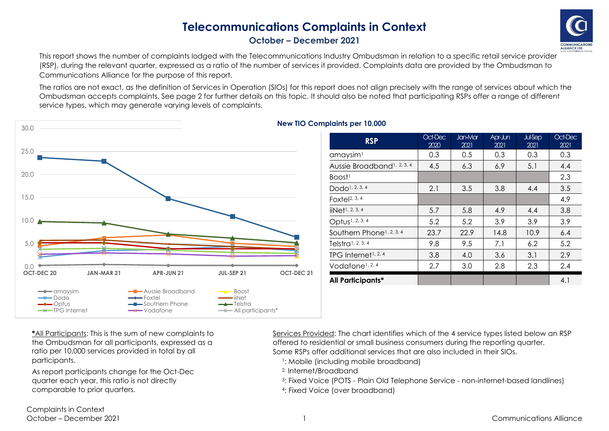## **Telecommunications Complaints in Context October – December 2021**



This report shows the number of complaints lodged with the Telecommunications Industry Ombudsman in relation to a specific retail service provider (RSP), during the relevant quarter, expressed as a ratio of the number of services it provided. Complaints data are provided by the Ombudsman to Communications Alliance for the purpose of this report.

The ratios are not exact, as the definition of Services in Operation (SIOs) for this report does not align precisely with the range of services about which the Ombudsman accepts complaints. See page 2 for further details on this topic. It should also be noted that participating RSPs offer a range of different service types, which may generate varying levels of complaints.



## **New TIO Complaints per 10,000**

| <b>RSP</b>                             | Oct-Dec<br>2020 | <b>Jan-Mar</b><br>2021 | Apr-Jun<br>2021 | <b>Jul-Sep</b><br>2021 | Oct-Dec<br>2021 |
|----------------------------------------|-----------------|------------------------|-----------------|------------------------|-----------------|
| amaysim <sup>1</sup>                   | 0.3             | 0.5                    | 0.3             | 0.3                    | 0.3             |
| Aussie Broadband <sup>1, 2, 3, 4</sup> | 4.5             | 6.3                    | 6.9             | 5.1                    | 4.4             |
| Boost <sup>1</sup>                     |                 |                        |                 |                        | 2.3             |
| Dodo <sup>1</sup> , 2, 3, 4            | 2.1             | 3.5                    | 3.8             | 4.4                    | 3.5             |
| Foxtel <sup>2, 3, 4</sup>              |                 |                        |                 |                        | 4.9             |
| $i$ Net <sup>1, 2, 3, 4</sup>          | 5.7             | 5.8                    | 4.9             | 4.4                    | 3.8             |
| Optus <sup>1, 2, 3, 4</sup>            | 5.2             | 5.2                    | 3.9             | 3.9                    | 3.9             |
| Southern Phone <sup>1, 2, 3, 4</sup>   | 23.7            | 22.9                   | 14.8            | 10.9                   | 6.4             |
| Telstra <sup>1</sup> , 2, 3, 4         | 9.8             | 9.5                    | 7.1             | 6.2                    | 5.2             |
| TPG Internet <sup>1, 2, 4</sup>        | 3.8             | 4.0                    | 3.6             | 3.1                    | 2.9             |
| Vodafone <sup>1, 2, 4</sup>            | 2.7             | 3.0                    | 2.8             | 2.3                    | 2.4             |
| <b>All Participants*</b>               |                 |                        |                 |                        | 4.1             |

**\***All Participants: This is the sum of new complaints to the Ombudsman for all participants, expressed as a ratio per 10,000 services provided in total by all participants.

As report participants change for the Oct-Dec quarter each year, this ratio is not directly comparable to prior quarters.

Services Provided: The chart identifies which of the 4 service types listed below an RSP offered to residential or small business consumers during the reporting quarter. Some RSPs offer additional services that are also included in their SIOs.

- <sup>1</sup>: Mobile (including mobile broadband)
- 2: Internet/Broadband
- <sup>3</sup>: Fixed Voice (POTS Plain Old Telephone Service non-internet-based landlines)
- <sup>4</sup>: Fixed Voice (over broadband)

Complaints in Context October – December 2021 1 Communications Alliance